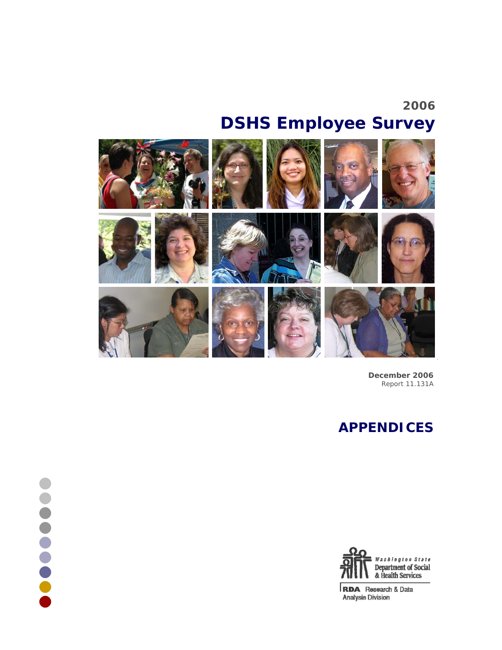# **2006 DSHS Employee Survey**



**December 2006** Report 11.131A

# **APPENDICES**



RDA Research & Data **Analysis Division**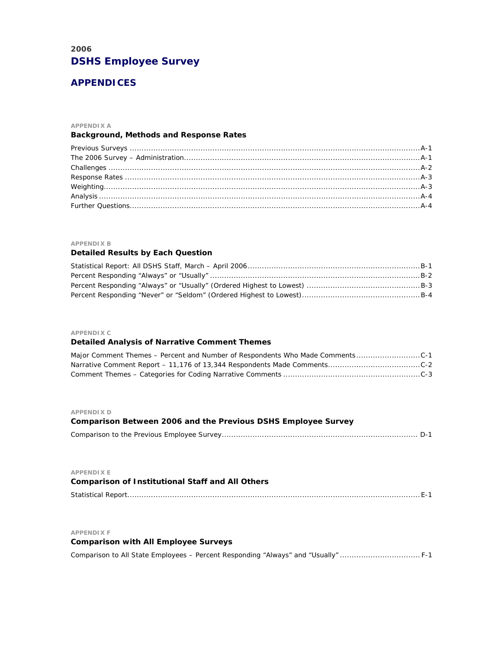# **2006 DSHS Employee Survey**

# **APPENDICES**

#### **APPENDIX A**

# **Background, Methods and Response Rates**

### **APPENDIX B**

# **Detailed Results by Each Question**

### **APPENDIX C**

# **Detailed Analysis of Narrative Comment Themes**

### **APPENDIX D**

| - <del>ALLANDIA</del> D                                       |  |
|---------------------------------------------------------------|--|
| Comparison Between 2006 and the Previous DSHS Employee Survey |  |
|                                                               |  |
|                                                               |  |
|                                                               |  |
| <b>APPENDIXE</b>                                              |  |

| <b>Comparison of Institutional Staff and All Others</b> |  |
|---------------------------------------------------------|--|
|                                                         |  |

### **APPENDIX F**

# **Comparison with All Employee Surveys**

Comparison to All State Employees – Percent Responding "Always" and "Usually" .................................. F-1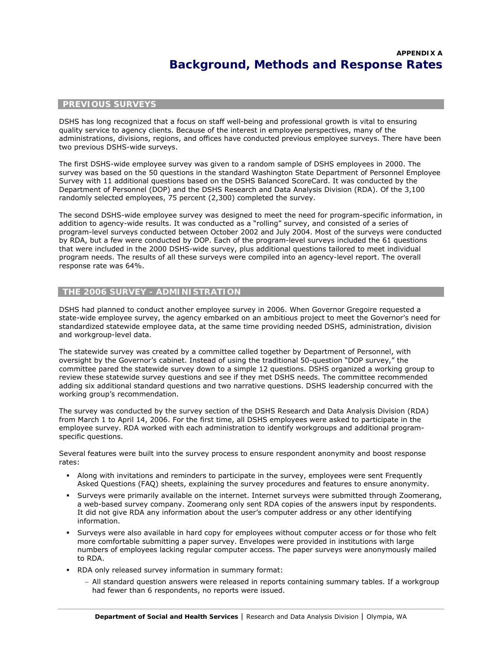# **PREVIOUS SURVEYS**

DSHS has long recognized that a focus on staff well-being and professional growth is vital to ensuring quality service to agency clients. Because of the interest in employee perspectives, many of the administrations, divisions, regions, and offices have conducted previous employee surveys. There have been two previous DSHS-wide surveys.

The first DSHS-wide employee survey was given to a random sample of DSHS employees in 2000. The survey was based on the 50 questions in the standard Washington State Department of Personnel Employee Survey with 11 additional questions based on the DSHS Balanced ScoreCard. It was conducted by the Department of Personnel (DOP) and the DSHS Research and Data Analysis Division (RDA). Of the 3,100 randomly selected employees, 75 percent (2,300) completed the survey.

The second DSHS-wide employee survey was designed to meet the need for program-specific information, in addition to agency-wide results. It was conducted as a "rolling" survey, and consisted of a series of program-level surveys conducted between October 2002 and July 2004. Most of the surveys were conducted by RDA, but a few were conducted by DOP. Each of the program-level surveys included the 61 questions that were included in the 2000 DSHS-wide survey, plus additional questions tailored to meet individual program needs. The results of all these surveys were compiled into an agency-level report. The overall response rate was 64%.

# **THE 2006 SURVEY - ADMINISTRATION**

DSHS had planned to conduct another employee survey in 2006. When Governor Gregoire requested a state-wide employee survey, the agency embarked on an ambitious project to meet the Governor's need for standardized statewide employee data, at the same time providing needed DSHS, administration, division and workgroup-level data.

The statewide survey was created by a committee called together by Department of Personnel, with oversight by the Governor's cabinet. Instead of using the traditional 50-question "DOP survey," the committee pared the statewide survey down to a simple 12 questions. DSHS organized a working group to review these statewide survey questions and see if they met DSHS needs. The committee recommended adding six additional standard questions and two narrative questions. DSHS leadership concurred with the working group's recommendation.

The survey was conducted by the survey section of the DSHS Research and Data Analysis Division (RDA) from March 1 to April 14, 2006. For the first time, all DSHS employees were asked to participate in the employee survey. RDA worked with each administration to identify workgroups and additional programspecific questions.

Several features were built into the survey process to ensure respondent anonymity and boost response rates:

- Along with invitations and reminders to participate in the survey, employees were sent Frequently Asked Questions (FAQ) sheets, explaining the survey procedures and features to ensure anonymity.
- Surveys were primarily available on the internet. Internet surveys were submitted through Zoomerang, a web-based survey company. Zoomerang only sent RDA copies of the answers input by respondents. It did not give RDA any information about the user's computer address or any other identifying information.
- Surveys were also available in hard copy for employees without computer access or for those who felt more comfortable submitting a paper survey. Envelopes were provided in institutions with large numbers of employees lacking regular computer access. The paper surveys were anonymously mailed to RDA.
- RDA only released survey information in summary format:
	- − All standard question answers were released in reports containing summary tables. If a workgroup had fewer than 6 respondents, no reports were issued.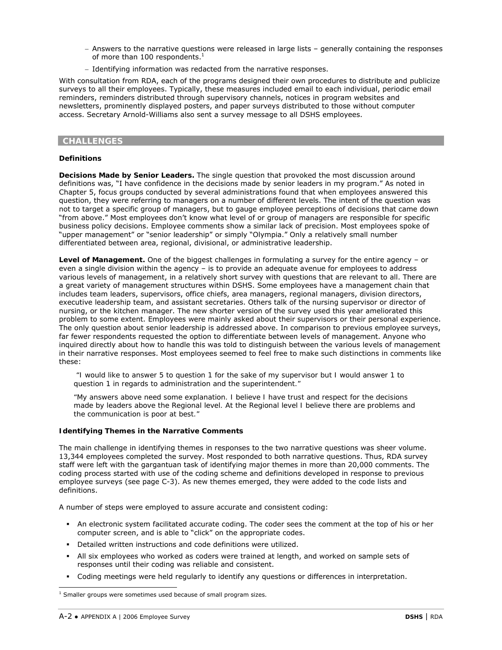- − Answers to the narrative questions were released in large lists generally containing the responses of more than 100 respondents. $<sup>1</sup>$ </sup>
- − Identifying information was redacted from the narrative responses.

With consultation from RDA, each of the programs designed their own procedures to distribute and publicize surveys to all their employees. Typically, these measures included email to each individual, periodic email reminders, reminders distributed through supervisory channels, notices in program websites and newsletters, prominently displayed posters, and paper surveys distributed to those without computer access. Secretary Arnold-Williams also sent a survey message to all DSHS employees.

# **CHALLENGES**

### **Definitions**

*Decisions Made by Senior Leaders.* The single question that provoked the most discussion around definitions was, "I have confidence in the decisions made by senior leaders in my program." As noted in Chapter 5, focus groups conducted by several administrations found that when employees answered this question, they were referring to managers on a number of different levels. The intent of the question was not to target a specific group of managers, but to gauge employee perceptions of decisions that came down "from above." Most employees don't know what level of or group of managers are responsible for specific business policy decisions. Employee comments show a similar lack of precision. Most employees spoke of "upper management" or "senior leadership" or simply "Olympia." Only a relatively small number differentiated between area, regional, divisional, or administrative leadership.

*Level of Management.* One of the biggest challenges in formulating a survey for the entire agency – or even a single division within the agency – is to provide an adequate avenue for employees to address various levels of management, in a relatively short survey with questions that are relevant to all. There are a great variety of management structures within DSHS. Some employees have a management chain that includes team leaders, supervisors, office chiefs, area managers, regional managers, division directors, executive leadership team, and assistant secretaries. Others talk of the nursing supervisor or director of nursing, or the kitchen manager. The new shorter version of the survey used this year ameliorated this problem to some extent. Employees were mainly asked about their supervisors or their personal experience. The only question about senior leadership is addressed above. In comparison to previous employee surveys, far fewer respondents requested the option to differentiate between levels of management. Anyone who inquired directly about how to handle this was told to distinguish between the various levels of management in their narrative responses. Most employees seemed to feel free to make such distinctions in comments like these:

 *"I would like to answer 5 to question 1 for the sake of my supervisor but I would answer 1 to question 1 in regards to administration and the superintendent."* 

*"My answers above need some explanation. I believe I have trust and respect for the decisions made by leaders above the Regional level. At the Regional level I believe there are problems and the communication is poor at best."* 

### **Identifying Themes in the Narrative Comments**

The main challenge in identifying themes in responses to the two narrative questions was sheer volume. 13,344 employees completed the survey. Most responded to both narrative questions. Thus, RDA survey staff were left with the gargantuan task of identifying major themes in more than 20,000 comments. The coding process started with use of the coding scheme and definitions developed in response to previous employee surveys (see page C-3). As new themes emerged, they were added to the code lists and definitions.

A number of steps were employed to assure accurate and consistent coding:

- An electronic system facilitated accurate coding. The coder sees the comment at the top of his or her computer screen, and is able to "click" on the appropriate codes.
- Detailed written instructions and code definitions were utilized.
- All six employees who worked as coders were trained at length, and worked on sample sets of responses until their coding was reliable and consistent.
- Coding meetings were held regularly to identify any questions or differences in interpretation.

 $\overline{\phantom{a}}$  $1$  Smaller groups were sometimes used because of small program sizes.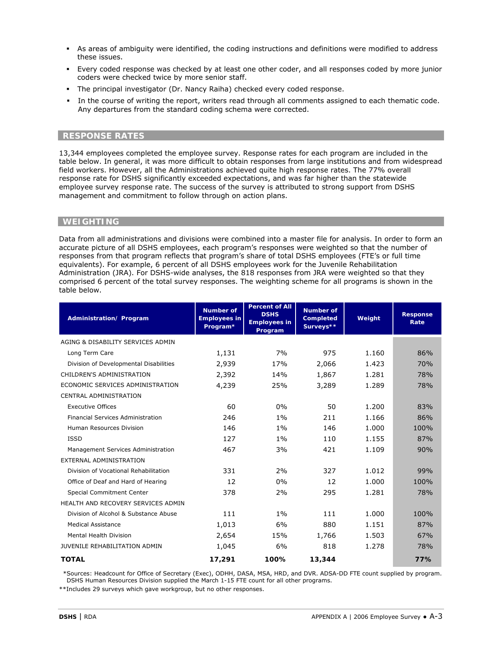- As areas of ambiguity were identified, the coding instructions and definitions were modified to address these issues.
- Every coded response was checked by at least one other coder, and all responses coded by more junior coders were checked twice by more senior staff.
- The principal investigator (Dr. Nancy Raiha) checked every coded response.
- In the course of writing the report, writers read through all comments assigned to each thematic code. Any departures from the standard coding schema were corrected.

# **RESPONSE RATES**

13,344 employees completed the employee survey. Response rates for each program are included in the table below. In general, it was more difficult to obtain responses from large institutions and from widespread field workers. However, all the Administrations achieved quite high response rates. The 77% overall response rate for DSHS significantly exceeded expectations, and was far higher than the statewide employee survey response rate. The success of the survey is attributed to strong support from DSHS management and commitment to follow through on action plans.

### **WEIGHTING**

Data from all administrations and divisions were combined into a master file for analysis. In order to form an accurate picture of all DSHS employees, each program's responses were weighted so that the number of responses from that program reflects that program's share of total DSHS employees (FTE's or full time equivalents). For example, 6 percent of all DSHS employees work for the Juvenile Rehabilitation Administration (JRA). For DSHS-wide analyses, the 818 responses from JRA were weighted so that they comprised 6 percent of the total survey responses. The weighting scheme for all programs is shown in the table below.

| <b>Administration/Program</b>          | <b>Number of</b><br><b>Employees in</b><br>Program* | <b>Percent of All</b><br><b>DSHS</b><br><b>Employees in</b><br>Program | <b>Number of</b><br><b>Completed</b><br>Surveys** | Weight | <b>Response</b><br>Rate |
|----------------------------------------|-----------------------------------------------------|------------------------------------------------------------------------|---------------------------------------------------|--------|-------------------------|
| AGING & DISABILITY SERVICES ADMIN      |                                                     |                                                                        |                                                   |        |                         |
| Long Term Care                         | 1,131                                               | 7%                                                                     | 975                                               | 1.160  | 86%                     |
| Division of Developmental Disabilities | 2,939                                               | 17%                                                                    | 2,066                                             | 1.423  | 70%                     |
| CHILDREN'S ADMINISTRATION              | 2,392                                               | 14%                                                                    | 1,867                                             | 1.281  | 78%                     |
| ECONOMIC SERVICES ADMINISTRATION       | 4,239                                               | 25%                                                                    | 3,289                                             | 1.289  | 78%                     |
| CENTRAL ADMINISTRATION                 |                                                     |                                                                        |                                                   |        |                         |
| <b>Executive Offices</b>               | 60                                                  | 0%                                                                     | 50                                                | 1.200  | 83%                     |
| Financial Services Administration      | 246                                                 | $1\%$                                                                  | 211                                               | 1.166  | 86%                     |
| Human Resources Division               | 146                                                 | $1\%$                                                                  | 146                                               | 1.000  | 100%                    |
| <b>ISSD</b>                            | 127                                                 | $1\%$                                                                  | 110                                               | 1.155  | 87%                     |
| Management Services Administration     | 467                                                 | 3%                                                                     | 421                                               | 1.109  | 90%                     |
| EXTERNAL ADMINISTRATION                |                                                     |                                                                        |                                                   |        |                         |
| Division of Vocational Rehabilitation  | 331                                                 | 2%                                                                     | 327                                               | 1.012  | 99%                     |
| Office of Deaf and Hard of Hearing     | 12                                                  | 0%                                                                     | 12                                                | 1.000  | 100%                    |
| <b>Special Commitment Center</b>       | 378                                                 | 2%                                                                     | 295                                               | 1.281  | 78%                     |
| HEALTH AND RECOVERY SERVICES ADMIN     |                                                     |                                                                        |                                                   |        |                         |
| Division of Alcohol & Substance Abuse  | 111                                                 | $1\%$                                                                  | 111                                               | 1.000  | 100%                    |
| <b>Medical Assistance</b>              | 1,013                                               | 6%                                                                     | 880                                               | 1.151  | 87%                     |
| <b>Mental Health Division</b>          | 2,654                                               | 15%                                                                    | 1,766                                             | 1.503  | 67%                     |
| JUVENILE REHABILITATION ADMIN          | 1,045                                               | 6%                                                                     | 818                                               | 1.278  | 78%                     |
| <b>TOTAL</b>                           | 17,291                                              | 100%                                                                   | 13,344                                            |        | 77%                     |

 \*Sources: Headcount for Office of Secretary (Exec), ODHH, DASA, MSA, HRD, and DVR. ADSA-DD FTE count supplied by program. DSHS Human Resources Division supplied the March 1-15 FTE count for all other programs.

\*\*Includes 29 surveys which gave workgroup, but no other responses.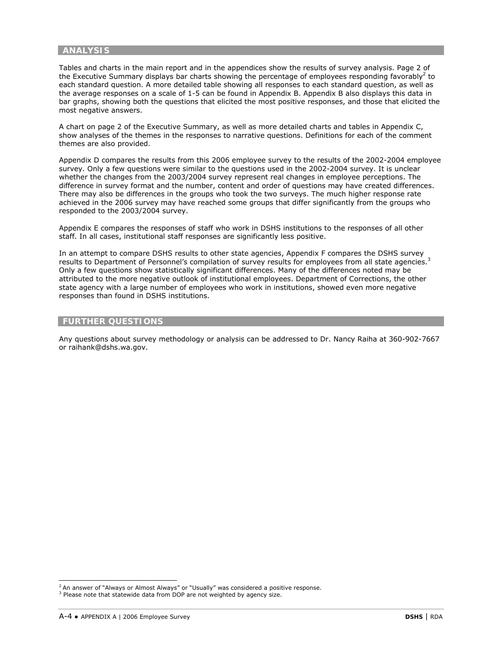## **ANALYSIS**

Tables and charts in the main report and in the appendices show the results of survey analysis. Page 2 of the Executive Summary displays bar charts showing the percentage of employees responding favorably<sup>2</sup> to each standard question. A more detailed table showing all responses to each standard question, as well as the average responses on a scale of 1-5 can be found in Appendix B. Appendix B also displays this data in bar graphs, showing both the questions that elicited the most positive responses, and those that elicited the most negative answers.

A chart on page 2 of the Executive Summary, as well as more detailed charts and tables in Appendix C, show analyses of the themes in the responses to narrative questions. Definitions for each of the comment themes are also provided.

Appendix D compares the results from this 2006 employee survey to the results of the 2002-2004 employee survey. Only a few questions were similar to the questions used in the 2002-2004 survey. It is unclear whether the changes from the 2003/2004 survey represent real changes in employee perceptions. The difference in survey format and the number, content and order of questions may have created differences. There may also be differences in the groups who took the two surveys. The much higher response rate achieved in the 2006 survey may have reached some groups that differ significantly from the groups who responded to the 2003/2004 survey.

Appendix E compares the responses of staff who work in DSHS institutions to the responses of all other staff. In all cases, institutional staff responses are significantly less positive.

In an attempt to compare DSHS results to other state agencies, Appendix F compares the DSHS survey results to Department of Personnel's compilation of survey results for employees from all state agencies.<sup>3</sup> Only a few questions show statistically significant differences. Many of the differences noted may be attributed to the more negative outlook of institutional employees. Department of Corrections, the other state agency with a large number of employees who work in institutions, showed even more negative responses than found in DSHS institutions.

# **FURTHER QUESTIONS**

Any questions about survey methodology or analysis can be addressed to Dr. Nancy Raiha at 360-902-7667 or raihank@dshs.wa.gov.

 2 An answer of "Always or Almost Always" or "Usually" was considered a positive response.

<sup>&</sup>lt;sup>3</sup> Please note that statewide data from DOP are not weighted by agency size.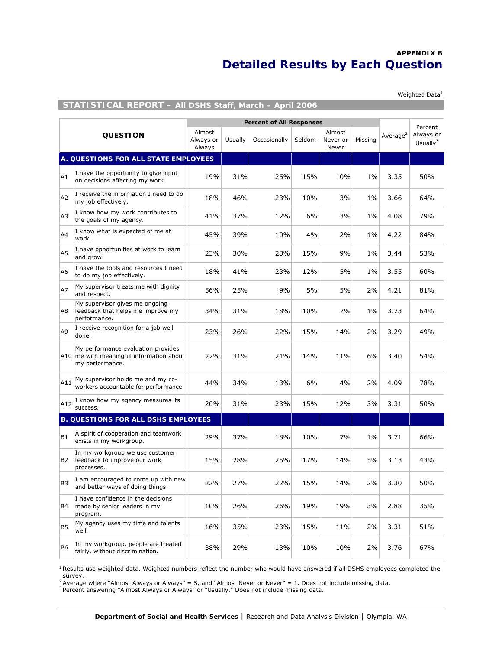# **APPENDIX B Detailed Results by Each Question**

Weighted  $Data<sup>1</sup>$ 

# **STATISTICAL REPORT – All DSHS Staff, March – April 2006**

|                |                                                                                                   |                               |         | <b>Percent of All Responses</b> |        |                             |         |                      | Percent                  |
|----------------|---------------------------------------------------------------------------------------------------|-------------------------------|---------|---------------------------------|--------|-----------------------------|---------|----------------------|--------------------------|
|                | <b>QUESTION</b>                                                                                   | Almost<br>Always or<br>Always | Usually | Occasionally                    | Seldom | Almost<br>Never or<br>Never | Missina | Average <sup>2</sup> | Always or<br>Usually $3$ |
|                | A. QUESTIONS FOR ALL STATE EMPLOYEES                                                              |                               |         |                                 |        |                             |         |                      |                          |
| A1             | I have the opportunity to give input<br>on decisions affecting my work.                           | 19%                           | 31%     | 25%                             | 15%    | 10%                         | $1\%$   | 3.35                 | 50%                      |
| A2             | I receive the information I need to do<br>my job effectively.                                     | 18%                           | 46%     | 23%                             | 10%    | 3%                          | $1\%$   | 3.66                 | 64%                      |
| A3             | I know how my work contributes to<br>the goals of my agency.                                      | 41%                           | 37%     | 12%                             | 6%     | 3%                          | $1\%$   | 4.08                 | 79%                      |
| A4             | I know what is expected of me at<br>work.                                                         | 45%                           | 39%     | 10%                             | 4%     | 2%                          | $1\%$   | 4.22                 | 84%                      |
| A5             | I have opportunities at work to learn<br>and grow.                                                | 23%                           | 30%     | 23%                             | 15%    | 9%                          | $1\%$   | 3.44                 | 53%                      |
| A <sub>6</sub> | I have the tools and resources I need<br>to do my job effectively.                                | 18%                           | 41%     | 23%                             | 12%    | 5%                          | $1\%$   | 3.55                 | 60%                      |
| A7             | My supervisor treats me with dignity<br>and respect.                                              | 56%                           | 25%     | 9%                              | 5%     | 5%                          | 2%      | 4.21                 | 81%                      |
| A8             | My supervisor gives me ongoing<br>feedback that helps me improve my<br>performance.               | 34%                           | 31%     | 18%                             | 10%    | 7%                          | $1\%$   | 3.73                 | 64%                      |
| A9             | I receive recognition for a job well<br>done.                                                     | 23%                           | 26%     | 22%                             | 15%    | 14%                         | 2%      | 3.29                 | 49%                      |
|                | My performance evaluation provides<br>A10 me with meaningful information about<br>my performance. | 22%                           | 31%     | 21%                             | 14%    | 11%                         | 6%      | 3.40                 | 54%                      |
| A11            | My supervisor holds me and my co-<br>workers accountable for performance.                         | 44%                           | 34%     | 13%                             | 6%     | 4%                          | 2%      | 4.09                 | 78%                      |
| A12            | I know how my agency measures its<br>success.                                                     | 20%                           | 31%     | 23%                             | 15%    | 12%                         | 3%      | 3.31                 | 50%                      |
|                | <b>B. QUESTIONS FOR ALL DSHS EMPLOYEES</b>                                                        |                               |         |                                 |        |                             |         |                      |                          |
| B1             | A spirit of cooperation and teamwork<br>exists in my workgroup.                                   | 29%                           | 37%     | 18%                             | 10%    | 7%                          | $1\%$   | 3.71                 | 66%                      |
| B2             | In my workgroup we use customer<br>feedback to improve our work<br>processes.                     | 15%                           | 28%     | 25%                             | 17%    | 14%                         | 5%      | 3.13                 | 43%                      |
| B <sub>3</sub> | I am encouraged to come up with new<br>and better ways of doing things.                           | 22%                           | 27%     | 22%                             | 15%    | 14%                         | 2%      | 3.30                 | 50%                      |
| B4             | I have confidence in the decisions<br>made by senior leaders in my<br>program.                    | 10%                           | 26%     | 26%                             | 19%    | 19%                         | 3%      | 2.88                 | 35%                      |
| <b>B5</b>      | My agency uses my time and talents<br>well.                                                       | 16%                           | 35%     | 23%                             | 15%    | 11%                         | 2%      | 3.31                 | 51%                      |
| <b>B6</b>      | In my workgroup, people are treated<br>fairly, without discrimination.                            | 38%                           | 29%     | 13%                             | 10%    | 10%                         | 2%      | 3.76                 | 67%                      |

 $1$  Results use weighted data. Weighted numbers reflect the number who would have answered if all DSHS employees completed the

survey.<br><sup>2</sup> Average where "Almost Always or Always" = 5, and "Almost Never or Never" = 1. Does not include missing data.<br><sup>3</sup> Percent answering "Almost Always or Always" or "Usually." Does not include missing data.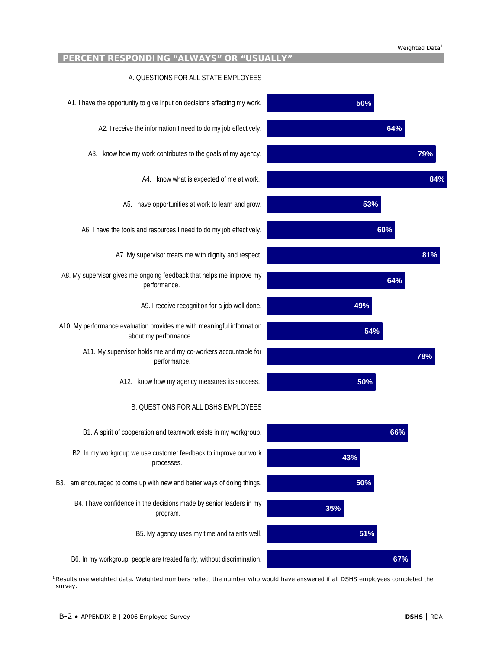#### Weighted Data<sup>1</sup>



<sup>1</sup> Results use weighted data. Weighted numbers reflect the number who would have answered if all DSHS employees completed the survey.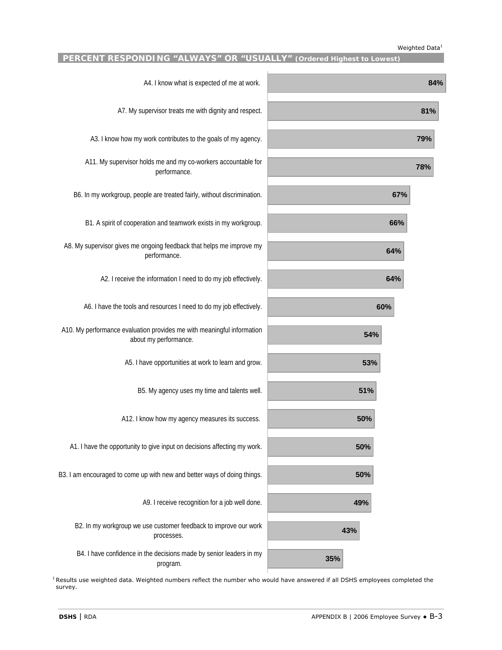### Weighted Data<sup>1</sup>

| A4. I know what is expected of me at work.                                                      | 84% |
|-------------------------------------------------------------------------------------------------|-----|
| A7. My supervisor treats me with dignity and respect.                                           | 81% |
| A3. I know how my work contributes to the goals of my agency.                                   | 79% |
| A11. My supervisor holds me and my co-workers accountable for<br>performance.                   | 78% |
| B6. In my workgroup, people are treated fairly, without discrimination.                         | 67% |
| B1. A spirit of cooperation and teamwork exists in my workgroup.                                | 66% |
| A8. My supervisor gives me ongoing feedback that helps me improve my<br>performance.            | 64% |
| A2. I receive the information I need to do my job effectively.                                  | 64% |
| A6. I have the tools and resources I need to do my job effectively.                             | 60% |
| A10. My performance evaluation provides me with meaningful information<br>about my performance. | 54% |
| A5. I have opportunities at work to learn and grow.                                             | 53% |
| B5. My agency uses my time and talents well.                                                    | 51% |
| A12. I know how my agency measures its success.                                                 | 50% |
| A1. I have the opportunity to give input on decisions affecting my work.                        | 50% |
| B3. I am encouraged to come up with new and better ways of doing things.                        | 50% |
| A9. I receive recognition for a job well done.                                                  | 49% |
| B2. In my workgroup we use customer feedback to improve our work<br>processes.                  | 43% |
| B4. I have confidence in the decisions made by senior leaders in my<br>program.                 | 35% |

 $1$ Results use weighted data. Weighted numbers reflect the number who would have answered if all DSHS employees completed the survey.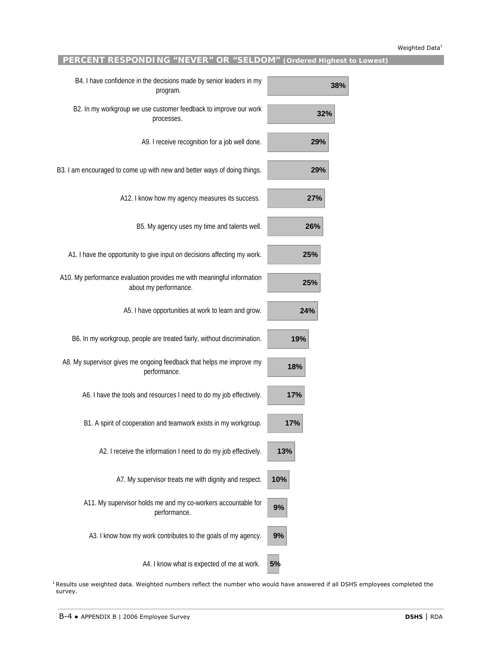# **PERCENT RESPONDING "NEVER" OR "SELDOM" (Ordered Highest to Lowest)**

| 38% | B4. I have confidence in the decisions made by senior leaders in my<br>program.                 |
|-----|-------------------------------------------------------------------------------------------------|
| 32% | B2. In my workgroup we use customer feedback to improve our work<br>processes.                  |
| 29% | A9. I receive recognition for a job well done.                                                  |
| 29% | B3. I am encouraged to come up with new and better ways of doing things.                        |
| 27% | A12. I know how my agency measures its success.                                                 |
| 26% | B5. My agency uses my time and talents well.                                                    |
| 25% | A1. I have the opportunity to give input on decisions affecting my work.                        |
| 25% | A10. My performance evaluation provides me with meaningful information<br>about my performance. |
| 24% | A5. I have opportunities at work to learn and grow.                                             |
| 19% | B6. In my workgroup, people are treated fairly, without discrimination.                         |
| 18% | A8. My supervisor gives me ongoing feedback that helps me improve my<br>performance.            |
| 17% | A6. I have the tools and resources I need to do my job effectively.                             |
| 17% | B1. A spirit of cooperation and teamwork exists in my workgroup.                                |
| 13% | A2. I receive the information I need to do my job effectively.                                  |
| 10% | A7. My supervisor treats me with dignity and respect.                                           |
| 9%  | A11. My supervisor holds me and my co-workers accountable for<br>performance.                   |
| 9%  | A3. I know how my work contributes to the goals of my agency.                                   |
| 5%  | A4. I know what is expected of me at work.                                                      |

<sup>1</sup> Results use weighted data. Weighted numbers reflect the number who would have answered if all DSHS employees completed the survey.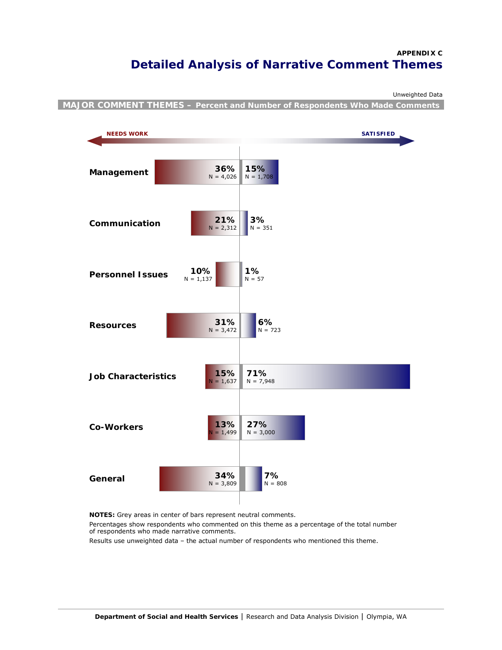# **APPENDIX C Detailed Analysis of Narrative Comment Themes**

Unweighted Data

**MAJOR COMMENT THEMES – Percent and Number of Respondents Who Made Comments** 



**NOTES:** Grey areas in center of bars represent neutral comments.

Percentages show respondents who commented on this theme as a percentage of the total number of respondents who made narrative comments.

Results use unweighted data – the actual number of respondents who mentioned this theme.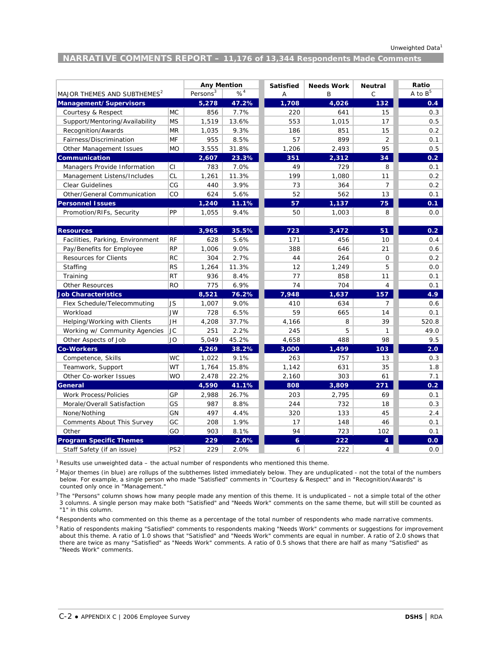# **NARRATIVE COMMENTS REPORT – 11,176 of 13,344 Respondents Made Comments**

|                                         |                 | <b>Any Mention</b> |          | <b>Satisfied</b> | <b>Needs Work</b> | <b>Neutral</b> | Ratio            |
|-----------------------------------------|-----------------|--------------------|----------|------------------|-------------------|----------------|------------------|
| MAJOR THEMES AND SUBTHEMES <sup>2</sup> |                 |                    | $% ^{4}$ | Α                | B                 | C              | A to $B^5$       |
| Management/Supervisors                  |                 | 5,278              | 47.2%    | 1,708            | 4,026             | 132            | 0.4              |
| Courtesy & Respect                      | <b>MC</b>       | 856                | 7.7%     | 220              | 641               | 15             | 0.3              |
| Support/Mentoring/Availability          | <b>MS</b>       | 1,519              | 13.6%    | 553              | 1,015             | 17             | 0.5              |
| Recognition/Awards                      | <b>MR</b>       | 1,035              | 9.3%     | 186              | 851               | 15             | 0.2              |
| Fairness/Discrimination                 | MF              | 955                | 8.5%     | 57               | 899               | $\overline{2}$ | 0.1              |
| Other Management Issues                 | <b>MO</b>       | 3,555              | 31.8%    | 1,206            | 2,493             | 95             | 0.5              |
| Communication                           |                 | 2,607              | 23.3%    | 351              | 2,312             | 34             | 0.2 <sub>1</sub> |
| Managers Provide Information            | CI              | 783                | 7.0%     | 49               | 729               | 8              | 0.1              |
| Management Listens/Includes             | <b>CL</b>       | 1,261              | 11.3%    | 199              | 1,080             | 11             | 0.2              |
| <b>Clear Guidelines</b>                 | CG              | 440                | 3.9%     | 73               | 364               | $\overline{7}$ | 0.2              |
| Other/General Communication             | CO              | 624                | 5.6%     | 52               | 562               | 13             | 0.1              |
| <b>Personnel Issues</b>                 |                 | 1,240              | 11.1%    | 57               | 1,137             | 75             | 0.1              |
| Promotion/RIFs, Security                | PP              | 1,055              | 9.4%     | 50               | 1,003             | 8              | 0.0              |
|                                         |                 |                    |          |                  |                   |                |                  |
| <b>Resources</b>                        |                 | 3,965              | 35.5%    | 723              | 3,472             | 51             | 0.2 <sub>1</sub> |
| Facilities, Parking, Environment        | RF              | 628                | 5.6%     | 171              | 456               | 10             | 0.4              |
| Pay/Benefits for Employee               | <b>RP</b>       | 1,006              | 9.0%     | 388              | 646               | 21             | 0.6              |
| <b>Resources for Clients</b>            | <b>RC</b>       | 304                | 2.7%     | 44               | 264               | $\mathsf{O}$   | 0.2              |
| Staffing                                | <b>RS</b>       | 1,264              | 11.3%    | 12               | 1,249             | 5              | 0.0              |
| Training                                | <b>RT</b>       | 936                | 8.4%     | 77               | 858               | 11             | 0.1              |
| <b>Other Resources</b>                  | <b>RO</b>       | 775                | 6.9%     | 74               | 704               | 4              | 0.1              |
| <b>Job Characteristics</b>              |                 | 8,521              | 76.2%    | 7.948            | 1,637             | 157            | 4.9              |
| Flex Schedule/Telecommuting             | <b>JS</b>       | 1,007              | 9.0%     | 410              | 634               | $\overline{7}$ | 0.6              |
| Workload                                | <b>JW</b>       | 728                | 6.5%     | 59               | 665               | 14             | 0.1              |
| Helping/Working with Clients            | JH              | 4,208              | 37.7%    | 4,166            | 8                 | 39             | 520.8            |
| Working w/ Community Agencies           | JC              | 251                | 2.2%     | 245              | 5                 | $\mathbf{1}$   | 49.0             |
| Other Aspects of Job                    | <b>JO</b>       | 5,049              | 45.2%    | 4,658            | 488               | 98             | 9.5              |
| <b>Co-Workers</b>                       |                 | 4,269              | 38.2%    | 3,000            | 1,499             | 103            | 2.0 <sub>1</sub> |
| Competence, Skills                      | WC              | 1,022              | 9.1%     | 263              | 757               | 13             | 0.3              |
| Teamwork, Support                       | WT              | 1,764              | 15.8%    | 1,142            | 631               | 35             | 1.8              |
| Other Co-worker Issues                  | <b>WO</b>       | 2,478              | 22.2%    | 2,160            | 303               | 61             | 7.1              |
| General                                 |                 | 4,590              | 41.1%    | 808              | 3,809             | 271            | 0.2 <sub>0</sub> |
| <b>Work Process/Policies</b>            | GP              | 2,988              | 26.7%    | 203              | 2,795             | 69             | 0.1              |
| Morale/Overall Satisfaction             | GS              | 987                | 8.8%     | 244              | 732               | 18             | 0.3              |
| None/Nothing                            | GN              | 497                | 4.4%     | 320              | 133               | 45             | 2.4              |
| <b>Comments About This Survey</b>       | GC              | 208                | 1.9%     | 17               | 148               | 46             | 0.1              |
| Other                                   | GO              | 903                | 8.1%     | 94               | 723               | 102            | 0.1              |
| <b>Program Specific Themes</b>          |                 | 229                | 2.0%     | $\epsilon$       | 222               | 4              | 0.0              |
| Staff Safety (if an issue)              | PS <sub>2</sub> | 229                | 2.0%     | 6                | 222               | 4              | 0.0              |

<sup>1</sup> Results use unweighted data – the actual number of respondents who mentioned this theme.

 $^2$  Major themes (in blue) are rollups of the subthemes listed immediately below. They are unduplicated - not the total of the numbers counted only once in "Management." below. For example, a single person who made "Satisfied" comments in "Courtesy & Respect" and in "Recognition/Awards" is

 "1" in this column.  $3$ The "Persons" column shows how many people made any mention of this theme. It is unduplicated – not a simple total of the other 3 columns. A single person may make both "Satisfied" and "Needs Work" comments on the same theme, but will still be counted as

<sup>4</sup> Respondents who commented on this theme as a percentage of the total number of respondents who made narrative comments.

<sup>5</sup> Ratio of respondents making "Satisfied" comments to respondents making "Needs Work" comments or suggestions for improvement about this theme. A ratio of 1.0 shows that "Satisfied" and "Needs Work" comments are equal in number. A ratio of 2.0 shows that there are twice as many "Satisfied" as "Needs Work" comments. A ratio of 0.5 shows that there are half as many "Satisfied" as "Needs Work" comments.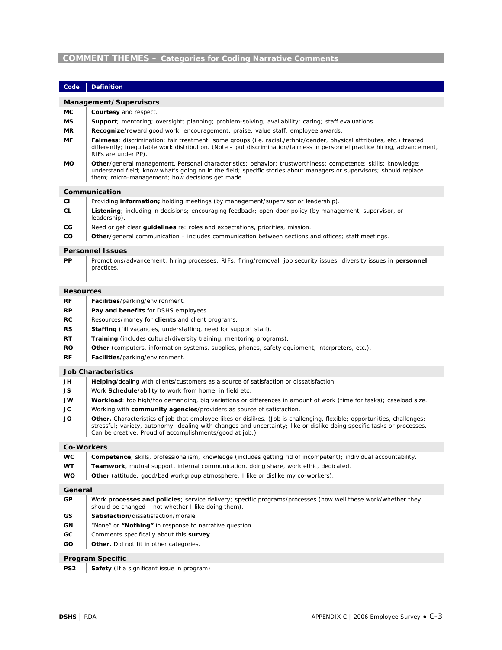### **COMMENT THEMES – Categories for Coding Narrative Comments**

| Code | Definition |
|------|------------|
|      |            |

#### **Management/Supervisors**

- **MC Courtesy** and respect.
- **MS Support**; mentoring; oversight; planning; problem-solving; availability; caring; staff evaluations.
- **MR Recognize**/reward good work; encouragement; praise; value staff; employee awards.
- **MF Fairness**; discrimination; fair treatment; some groups (i.e. racial./ethnic/gender, physical attributes, etc.) treated differently; inequitable work distribution. (Note – put discrimination/fairness in personnel practice hiring, advancement, RIFs are under PP).
- **MO Other**/general management. Personal characteristics; behavior; trustworthiness; competence; skills; knowledge; understand field; know what's going on in the field; specific stories about managers or supervisors; should replace them; micro-management; how decisions get made.

#### **Communication**

- **CI** Providing **information;** holding meetings (by management/supervisor or leadership). **CL Listening**; including in decisions; encouraging feedback; open-door policy (by management, supervisor, or leadership). **CG** Need or get clear **guidelines** re: roles and expectations, priorities, mission.
- **CO Other**/general communication includes communication between sections and offices; staff meetings.

#### **Personnel Issues**

**PP** Promotions/advancement; hiring processes; RIFs; firing/removal; job security issues; diversity issues in **personnel** practices.

#### **Resources**

- **RF Facilities**/parking/environment.
- **RP Pay and benefits** for DSHS employees.
- **RC** Resources/money for **clients** and client programs.
- **RS Staffing** (fill vacancies, understaffing, need for support staff).
- **RT Training** (includes cultural/diversity training, mentoring programs).
- **RO Other** (computers, information systems, supplies, phones, safety equipment, interpreters, etc.).
- **RF Facilities**/parking/environment.

#### **Job Characteristics**

- **JS** Work **Schedule**/ability to work from home, in field etc.
- **JW** Workload: too high/too demanding, big variations or differences in amount of work (time for tasks); caseload size.
- **JC** Vorking with **community agencies**/providers as source of satisfaction.
- JO **I** Other. Characteristics of job that employee likes or dislikes. (Job is challenging, flexible; opportunities, challenges; stressful; variety, autonomy; dealing with changes and uncertainty; like or dislike doing specific tasks or processes. Can be creative. Proud of accomplishments/good at job.)

#### **Co-Workers**

| <b>WC</b> |  |  | <b>Competence</b> , skills, professionalism, knowledge (includes getting rid of incompetent); individual accountability. |  |  |  |  |  |  |
|-----------|--|--|--------------------------------------------------------------------------------------------------------------------------|--|--|--|--|--|--|
|-----------|--|--|--------------------------------------------------------------------------------------------------------------------------|--|--|--|--|--|--|

- **WT Teamwork**, mutual support, internal communication, doing share, work ethic, dedicated.
- **WO Other** (attitude; good/bad workgroup atmosphere; I like or dislike my co-workers).

#### **General**

- **GP** Work **processes and policies**; service delivery; specific programs/processes (how well these work/whether they should be changed – not whether I like doing them).
- **GS Satisfaction**/dissatisfaction/morale.
- **GN** "None" or **"Nothing"** in response to narrative question
- **GC** | Comments specifically about this **survey**.
- **GO Other.** Did not fit in other categories.

#### **Program Specific**

**PS2** Safety (If a significant issue in program)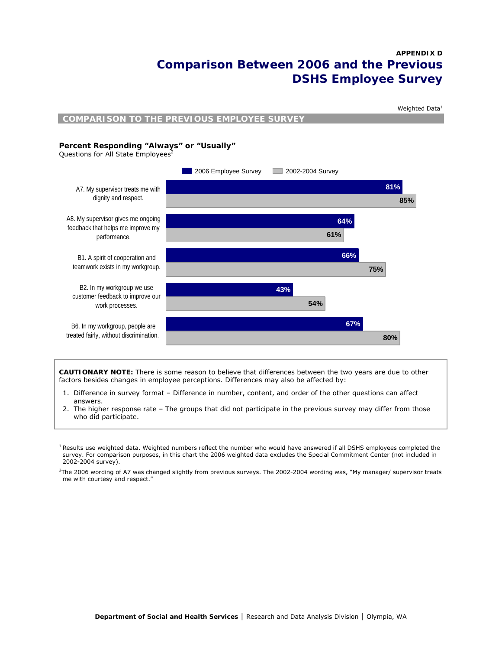# **APPENDIX D Comparison Between 2006 and the Previous DSHS Employee Survey**



**CAUTIONARY NOTE:** There is some reason to believe that differences between the two years are due to other factors besides changes in employee perceptions. Differences may also be affected by:

- 1. Difference in survey format Difference in number, content, and order of the other questions can affect answers.
- 2. The higher response rate The groups that did not participate in the previous survey may differ from those who did participate.

<sup>&</sup>lt;sup>1</sup> Results use weighted data. Weighted numbers reflect the number who would have answered if all DSHS employees completed the survey. For comparison purposes, in this chart the 2006 weighted data excludes the Special Commitment Center (not included in 2002-2004 survey).

<sup>2</sup> The 2006 wording of A7 was changed slightly from previous surveys. The 2002-2004 wording was, "My manager/ supervisor treats me with courtesy and respect."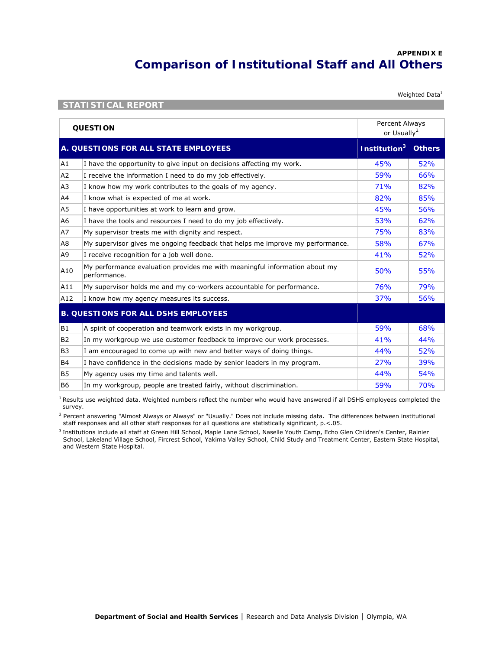# **APPENDIX E Comparison of Institutional Staff and All Others**

Weighted Data<sup>1</sup>

| <b>QUESTION</b> |                                                                                            |                          | Percent Always<br>or Usually <sup>2</sup> |  |
|-----------------|--------------------------------------------------------------------------------------------|--------------------------|-------------------------------------------|--|
|                 | A. QUESTIONS FOR ALL STATE EMPLOYEES                                                       | Institution <sup>3</sup> | <b>Others</b>                             |  |
| A1              | I have the opportunity to give input on decisions affecting my work.                       | 45%                      | 52%                                       |  |
| A <sub>2</sub>  | I receive the information I need to do my job effectively.                                 | 59%                      | 66%                                       |  |
| A3              | I know how my work contributes to the goals of my agency.                                  | 71%                      | 82%                                       |  |
| A4              | I know what is expected of me at work.                                                     | 82%                      | 85%                                       |  |
| A5              | I have opportunities at work to learn and grow.                                            | 45%                      | 56%                                       |  |
| A6              | I have the tools and resources I need to do my job effectively.                            | 53%                      | 62%                                       |  |
| A7              | My supervisor treats me with dignity and respect.                                          | 75%                      | 83%                                       |  |
| A8              | My supervisor gives me ongoing feedback that helps me improve my performance.              | 58%                      | 67%                                       |  |
| A9              | I receive recognition for a job well done.                                                 | 41%                      | 52%                                       |  |
| A10             | My performance evaluation provides me with meaningful information about my<br>performance. | 50%                      | 55%                                       |  |
| A11             | My supervisor holds me and my co-workers accountable for performance.                      | 76%                      | 79%                                       |  |
| A12             | I know how my agency measures its success.                                                 | 37%                      | 56%                                       |  |
|                 | <b>B. QUESTIONS FOR ALL DSHS EMPLOYEES</b>                                                 |                          |                                           |  |
| B <sub>1</sub>  | A spirit of cooperation and teamwork exists in my workgroup.                               | 59%                      | 68%                                       |  |
| B <sub>2</sub>  | In my workgroup we use customer feedback to improve our work processes.                    | 41%                      | 44%                                       |  |
| B <sub>3</sub>  | I am encouraged to come up with new and better ways of doing things.                       | 44%                      | 52%                                       |  |
| <b>B4</b>       | I have confidence in the decisions made by senior leaders in my program.                   | 27%                      | 39%                                       |  |
| B <sub>5</sub>  | My agency uses my time and talents well.                                                   | 44%                      | 54%                                       |  |
| B <sub>6</sub>  | In my workgroup, people are treated fairly, without discrimination.                        | 59%                      | 70%                                       |  |

**STATISTICAL REPORT** 

<sup>1</sup> Results use weighted data. Weighted numbers reflect the number who would have answered if all DSHS employees completed the survey.

<sup>2</sup> Percent answering "Almost Always or Always" or "Usually." Does not include missing data. The differences between institutional staff responses and all other staff responses for all questions are statistically significant, p.<.05.

<sup>3</sup> Institutions include all staff at Green Hill School, Maple Lane School, Naselle Youth Camp, Echo Glen Children's Center, Rainier School, Lakeland Village School, Fircrest School, Yakima Valley School, Child Study and Treatment Center, Eastern State Hospital, and Western State Hospital.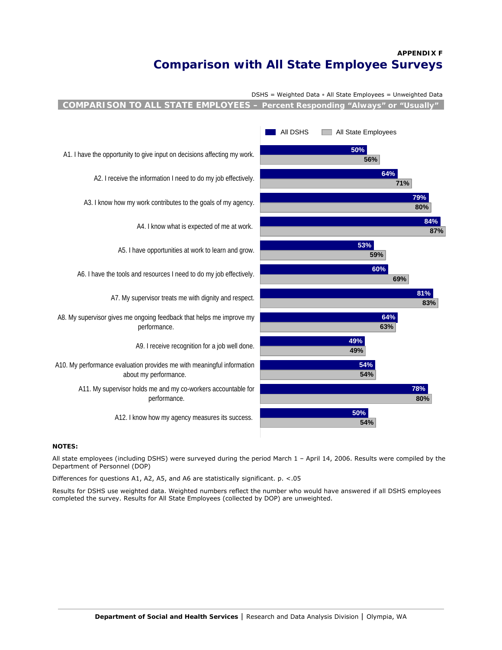# **APPENDIX F Comparison with All State Employee Surveys**

DSHS = Weighted Data • All State Employees = Unweighted Data

**COMPARISON TO ALL STATE EMPLOYEES – Percent Responding "Always" or "Usually"**



## **NOTES:**

All state employees (including DSHS) were surveyed during the period March 1 – April 14, 2006. Results were compiled by the Department of Personnel (DOP)

Differences for questions A1, A2, A5, and A6 are statistically significant. p. <.05

Results for DSHS use weighted data. Weighted numbers reflect the number who would have answered if all DSHS employees completed the survey. Results for All State Employees (collected by DOP) are unweighted.